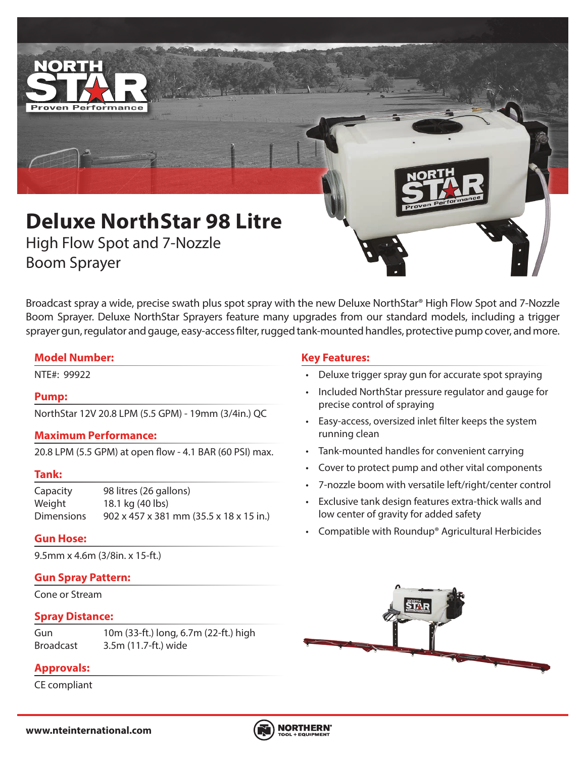

# **Deluxe NorthStar 98 Litre**

High Flow Spot and 7-Nozzle Boom Sprayer

Broadcast spray a wide, precise swath plus spot spray with the new Deluxe NorthStar® High Flow Spot and 7-Nozzle Boom Sprayer. Deluxe NorthStar Sprayers feature many upgrades from our standard models, including a trigger sprayer gun, regulator and gauge, easy-access filter, rugged tank-mounted handles, protective pump cover, and more.

### **Model Number:**

### **Pump:**

NorthStar 12V 20.8 LPM (5.5 GPM) - 19mm (3/4in.) QC

### **Maximum Performance:**

20.8 LPM (5.5 GPM) at open flow - 4.1 BAR (60 PSI) max.

#### **Tank:**

Capacity 98 litres (26 gallons) Weight 18.1 kg (40 lbs) Dimensions 902 x 457 x 381 mm (35.5 x 18 x 15 in.)

### **Gun Hose:**

9.5mm x 4.6m (3/8in. x 15-ft.)

### **Gun Spray Pattern:**

Cone or Stream

### **Spray Distance:**

Gun 10m (33-ft.) long, 6.7m (22-ft.) high Broadcast 3.5m (11.7-ft.) wide

# **Approvals:**

CE compliant

## **Key Features:**

- NTE#: 99922 Deluxe trigger spray gun for accurate spot spraying
	- Included NorthStar pressure regulator and gauge for precise control of spraying
	- Easy-access, oversized inlet filter keeps the system running clean
	- Tank-mounted handles for convenient carrying
	- Cover to protect pump and other vital components
	- 7-nozzle boom with versatile left/right/center control
	- Exclusive tank design features extra-thick walls and low center of gravity for added safety
	- Compatible with Roundup® Agricultural Herbicides